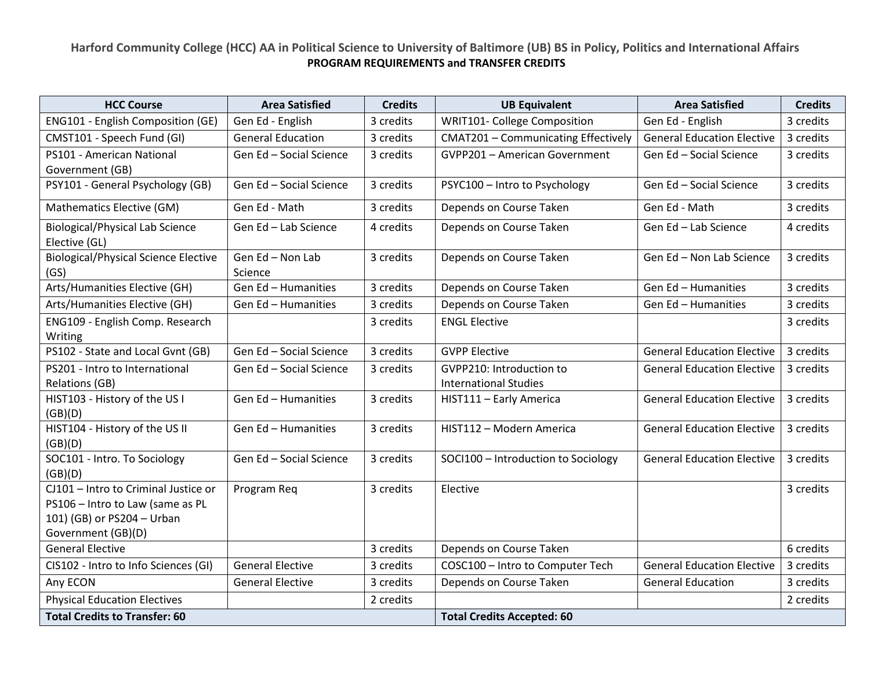## **Harford Community College (HCC) AA in Political Science to University of Baltimore (UB) BS in Policy, Politics and International Affairs PROGRAM REQUIREMENTS and TRANSFER CREDITS**

| <b>HCC Course</b>                                       | <b>Area Satisfied</b>       | <b>Credits</b> | <b>UB Equivalent</b>                       | <b>Area Satisfied</b>             | <b>Credits</b> |
|---------------------------------------------------------|-----------------------------|----------------|--------------------------------------------|-----------------------------------|----------------|
| ENG101 - English Composition (GE)                       | Gen Ed - English            | 3 credits      | WRIT101- College Composition               | Gen Ed - English                  | 3 credits      |
| CMST101 - Speech Fund (GI)                              | <b>General Education</b>    | 3 credits      | <b>CMAT201 - Communicating Effectively</b> | <b>General Education Elective</b> | 3 credits      |
| PS101 - American National                               | Gen Ed - Social Science     | 3 credits      | <b>GVPP201 - American Government</b>       | Gen Ed - Social Science           | 3 credits      |
| Government (GB)                                         |                             |                |                                            |                                   |                |
| PSY101 - General Psychology (GB)                        | Gen Ed - Social Science     | 3 credits      | PSYC100 - Intro to Psychology              | Gen Ed - Social Science           | 3 credits      |
| Mathematics Elective (GM)                               | Gen Ed - Math               | 3 credits      | Depends on Course Taken                    | Gen Ed - Math                     | 3 credits      |
| <b>Biological/Physical Lab Science</b><br>Elective (GL) | Gen Ed - Lab Science        | 4 credits      | Depends on Course Taken                    | Gen Ed - Lab Science              | 4 credits      |
| <b>Biological/Physical Science Elective</b><br>(GS)     | Gen Ed - Non Lab<br>Science | 3 credits      | Depends on Course Taken                    | Gen Ed - Non Lab Science          | 3 credits      |
| Arts/Humanities Elective (GH)                           | Gen Ed - Humanities         | 3 credits      | Depends on Course Taken                    | Gen Ed - Humanities               | 3 credits      |
| Arts/Humanities Elective (GH)                           | Gen Ed - Humanities         | 3 credits      | Depends on Course Taken                    | Gen Ed - Humanities               | 3 credits      |
| ENG109 - English Comp. Research                         |                             | 3 credits      | <b>ENGL Elective</b>                       |                                   | 3 credits      |
| Writing                                                 |                             |                |                                            |                                   |                |
| PS102 - State and Local Gvnt (GB)                       | Gen Ed - Social Science     | 3 credits      | <b>GVPP Elective</b>                       | <b>General Education Elective</b> | 3 credits      |
| PS201 - Intro to International                          | Gen Ed - Social Science     | 3 credits      | GVPP210: Introduction to                   | <b>General Education Elective</b> | 3 credits      |
| <b>Relations (GB)</b>                                   |                             |                | <b>International Studies</b>               |                                   |                |
| HIST103 - History of the US I                           | Gen Ed - Humanities         | 3 credits      | HIST111 - Early America                    | <b>General Education Elective</b> | 3 credits      |
| (GB)(D)                                                 |                             |                |                                            |                                   |                |
| HIST104 - History of the US II<br>(GB)(D)               | Gen Ed - Humanities         | 3 credits      | HIST112 - Modern America                   | <b>General Education Elective</b> | 3 credits      |
| SOC101 - Intro. To Sociology                            | Gen Ed - Social Science     | 3 credits      | SOCI100 - Introduction to Sociology        | <b>General Education Elective</b> | 3 credits      |
| (GB)(D)                                                 |                             |                |                                            |                                   |                |
| CJ101 - Intro to Criminal Justice or                    | Program Req                 | 3 credits      | Elective                                   |                                   | 3 credits      |
| PS106 - Intro to Law (same as PL                        |                             |                |                                            |                                   |                |
| 101) (GB) or PS204 - Urban                              |                             |                |                                            |                                   |                |
| Government (GB)(D)                                      |                             |                |                                            |                                   |                |
| <b>General Elective</b>                                 |                             | 3 credits      | Depends on Course Taken                    |                                   | 6 credits      |
| CIS102 - Intro to Info Sciences (GI)                    | <b>General Elective</b>     | 3 credits      | COSC100 - Intro to Computer Tech           | <b>General Education Elective</b> | 3 credits      |
| Any ECON                                                | <b>General Elective</b>     | 3 credits      | Depends on Course Taken                    | <b>General Education</b>          | 3 credits      |
| <b>Physical Education Electives</b>                     |                             | 2 credits      |                                            |                                   | 2 credits      |
| <b>Total Credits to Transfer: 60</b>                    |                             |                | <b>Total Credits Accepted: 60</b>          |                                   |                |